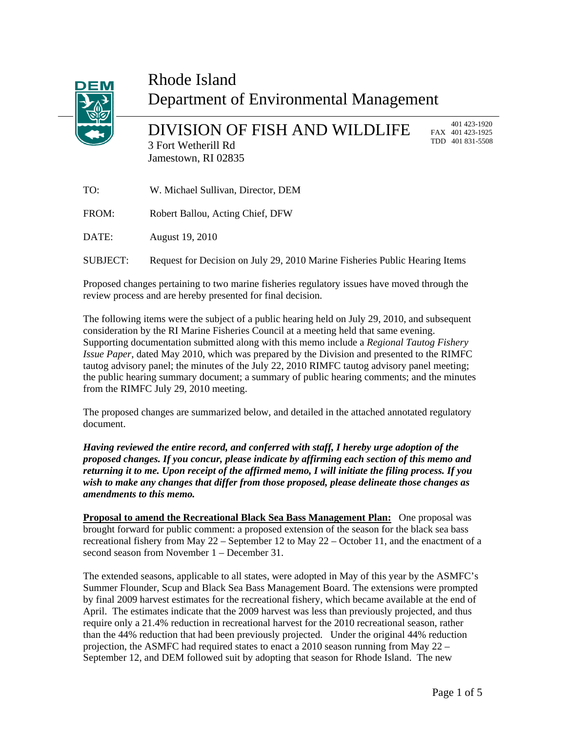

# Rhode Island Department of Environmental Management

DIVISION OF FISH AND WILDLIFE 3 Fort Wetherill Rd Jamestown, RI 02835

 401 423-1920 FAX 401 423-1925 TDD 401 831-5508

TO: W. Michael Sullivan, Director, DEM

FROM: Robert Ballou, Acting Chief, DFW

DATE: August 19, 2010

SUBJECT: Request for Decision on July 29, 2010 Marine Fisheries Public Hearing Items

Proposed changes pertaining to two marine fisheries regulatory issues have moved through the review process and are hereby presented for final decision.

The following items were the subject of a public hearing held on July 29, 2010, and subsequent consideration by the RI Marine Fisheries Council at a meeting held that same evening. Supporting documentation submitted along with this memo include a *Regional Tautog Fishery Issue Paper*, dated May 2010, which was prepared by the Division and presented to the RIMFC tautog advisory panel; the minutes of the July 22, 2010 RIMFC tautog advisory panel meeting; the public hearing summary document; a summary of public hearing comments; and the minutes from the RIMFC July 29, 2010 meeting.

The proposed changes are summarized below, and detailed in the attached annotated regulatory document.

*Having reviewed the entire record, and conferred with staff, I hereby urge adoption of the proposed changes. If you concur, please indicate by affirming each section of this memo and returning it to me. Upon receipt of the affirmed memo, I will initiate the filing process. If you wish to make any changes that differ from those proposed, please delineate those changes as amendments to this memo.* 

**Proposal to amend the Recreational Black Sea Bass Management Plan:** One proposal was brought forward for public comment: a proposed extension of the season for the black sea bass recreational fishery from May 22 – September 12 to May 22 – October 11, and the enactment of a second season from November 1 – December 31.

The extended seasons, applicable to all states, were adopted in May of this year by the ASMFC's Summer Flounder, Scup and Black Sea Bass Management Board. The extensions were prompted by final 2009 harvest estimates for the recreational fishery, which became available at the end of April. The estimates indicate that the 2009 harvest was less than previously projected, and thus require only a 21.4% reduction in recreational harvest for the 2010 recreational season, rather than the 44% reduction that had been previously projected. Under the original 44% reduction projection, the ASMFC had required states to enact a 2010 season running from May 22 – September 12, and DEM followed suit by adopting that season for Rhode Island. The new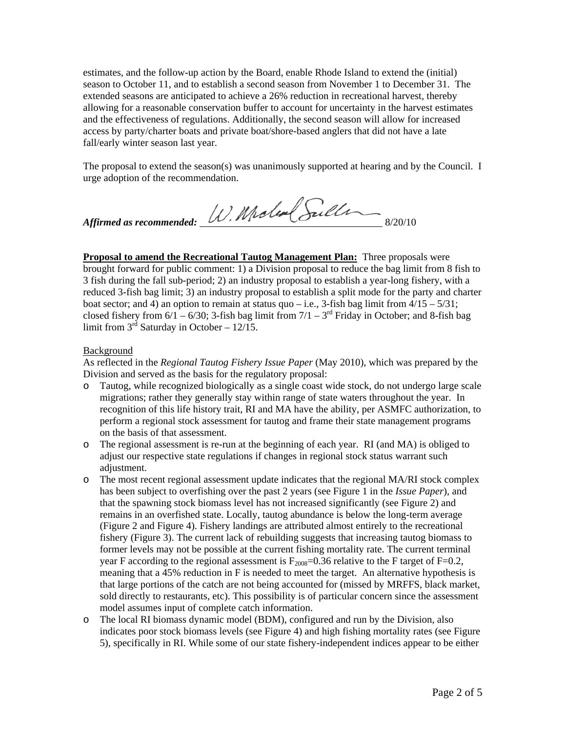estimates, and the follow-up action by the Board, enable Rhode Island to extend the (initial) season to October 11, and to establish a second season from November 1 to December 31. The extended seasons are anticipated to achieve a 26% reduction in recreational harvest, thereby allowing for a reasonable conservation buffer to account for uncertainty in the harvest estimates and the effectiveness of regulations. Additionally, the second season will allow for increased access by party/charter boats and private boat/shore-based anglers that did not have a late fall/early winter season last year.

The proposal to extend the season(s) was unanimously supported at hearing and by the Council. I urge adoption of the recommendation.

Affirmed as recommended: W. Molen Sulling

**Proposal to amend the Recreational Tautog Management Plan:** Three proposals were brought forward for public comment: 1) a Division proposal to reduce the bag limit from 8 fish to 3 fish during the fall sub-period; 2) an industry proposal to establish a year-long fishery, with a reduced 3-fish bag limit; 3) an industry proposal to establish a split mode for the party and charter boat sector; and 4) an option to remain at status quo – i.e., 3-fish bag limit from  $4/15 - 5/31$ ; closed fishery from  $6/1 - 6/30$ ; 3-fish bag limit from  $7/1 - 3<sup>rd</sup>$  Friday in October; and 8-fish bag limit from  $3^{rd}$  Saturday in October – 12/15.

### Background

As reflected in the *Regional Tautog Fishery Issue Paper* (May 2010), which was prepared by the Division and served as the basis for the regulatory proposal:

- o Tautog, while recognized biologically as a single coast wide stock, do not undergo large scale migrations; rather they generally stay within range of state waters throughout the year. In recognition of this life history trait, RI and MA have the ability, per ASMFC authorization, to perform a regional stock assessment for tautog and frame their state management programs on the basis of that assessment.
- o The regional assessment is re-run at the beginning of each year. RI (and MA) is obliged to adjust our respective state regulations if changes in regional stock status warrant such adjustment.
- o The most recent regional assessment update indicates that the regional MA/RI stock complex has been subject to overfishing over the past 2 years (see Figure 1 in the *Issue Paper*), and that the spawning stock biomass level has not increased significantly (see Figure 2) and remains in an overfished state. Locally, tautog abundance is below the long-term average (Figure 2 and Figure 4). Fishery landings are attributed almost entirely to the recreational fishery (Figure 3). The current lack of rebuilding suggests that increasing tautog biomass to former levels may not be possible at the current fishing mortality rate. The current terminal year F according to the regional assessment is  $F_{2008}=0.36$  relative to the F target of F=0.2, meaning that a 45% reduction in F is needed to meet the target. An alternative hypothesis is that large portions of the catch are not being accounted for (missed by MRFFS, black market, sold directly to restaurants, etc). This possibility is of particular concern since the assessment model assumes input of complete catch information.
- o The local RI biomass dynamic model (BDM), configured and run by the Division, also indicates poor stock biomass levels (see Figure 4) and high fishing mortality rates (see Figure 5), specifically in RI. While some of our state fishery-independent indices appear to be either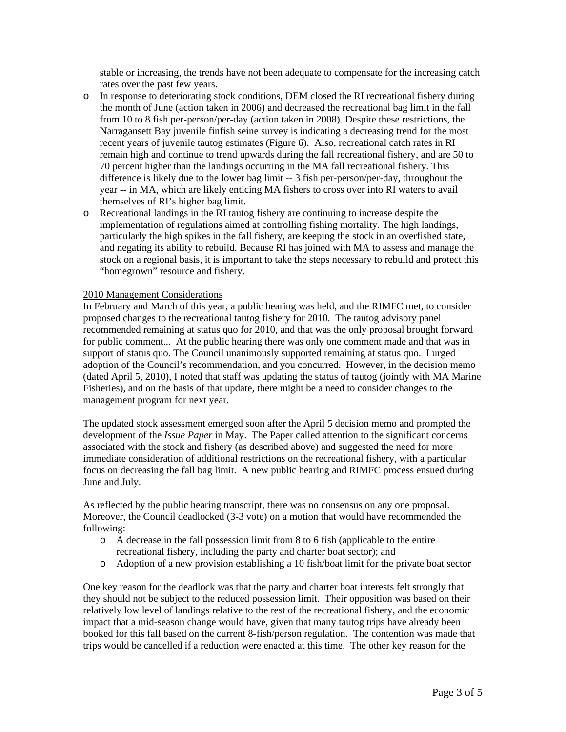stable or increasing, the trends have not been adequate to compensate for the increasing catch rates over the past few years.

- o In response to deteriorating stock conditions, DEM closed the RI recreational fishery during the month of June (action taken in 2006) and decreased the recreational bag limit in the fall from 10 to 8 fish per-person/per-day (action taken in 2008). Despite these restrictions, the Narragansett Bay juvenile finfish seine survey is indicating a decreasing trend for the most recent years of juvenile tautog estimates (Figure 6). Also, recreational catch rates in RI remain high and continue to trend upwards during the fall recreational fishery, and are 50 to 70 percent higher than the landings occurring in the MA fall recreational fishery. This difference is likely due to the lower bag limit -- 3 fish per-person/per-day, throughout the year -- in MA, which are likely enticing MA fishers to cross over into RI waters to avail themselves of RI's higher bag limit.
- o Recreational landings in the RI tautog fishery are continuing to increase despite the implementation of regulations aimed at controlling fishing mortality. The high landings, particularly the high spikes in the fall fishery, are keeping the stock in an overfished state, and negating its ability to rebuild. Because RI has joined with MA to assess and manage the stock on a regional basis, it is important to take the steps necessary to rebuild and protect this "homegrown" resource and fishery.

#### 2010 Management Considerations

In February and March of this year, a public hearing was held, and the RIMFC met, to consider proposed changes to the recreational tautog fishery for 2010. The tautog advisory panel recommended remaining at status quo for 2010, and that was the only proposal brought forward for public comment... At the public hearing there was only one comment made and that was in support of status quo. The Council unanimously supported remaining at status quo. I urged adoption of the Council's recommendation, and you concurred. However, in the decision memo (dated April 5, 2010), I noted that staff was updating the status of tautog (jointly with MA Marine Fisheries), and on the basis of that update, there might be a need to consider changes to the management program for next year.

The updated stock assessment emerged soon after the April 5 decision memo and prompted the development of the *Issue Paper* in May. The Paper called attention to the significant concerns associated with the stock and fishery (as described above) and suggested the need for more immediate consideration of additional restrictions on the recreational fishery, with a particular focus on decreasing the fall bag limit. A new public hearing and RIMFC process ensued during June and July.

As reflected by the public hearing transcript, there was no consensus on any one proposal. Moreover, the Council deadlocked (3-3 vote) on a motion that would have recommended the following:

- o A decrease in the fall possession limit from 8 to 6 fish (applicable to the entire recreational fishery, including the party and charter boat sector); and
- o Adoption of a new provision establishing a 10 fish/boat limit for the private boat sector

One key reason for the deadlock was that the party and charter boat interests felt strongly that they should not be subject to the reduced possession limit. Their opposition was based on their relatively low level of landings relative to the rest of the recreational fishery, and the economic impact that a mid-season change would have, given that many tautog trips have already been booked for this fall based on the current 8-fish/person regulation. The contention was made that trips would be cancelled if a reduction were enacted at this time. The other key reason for the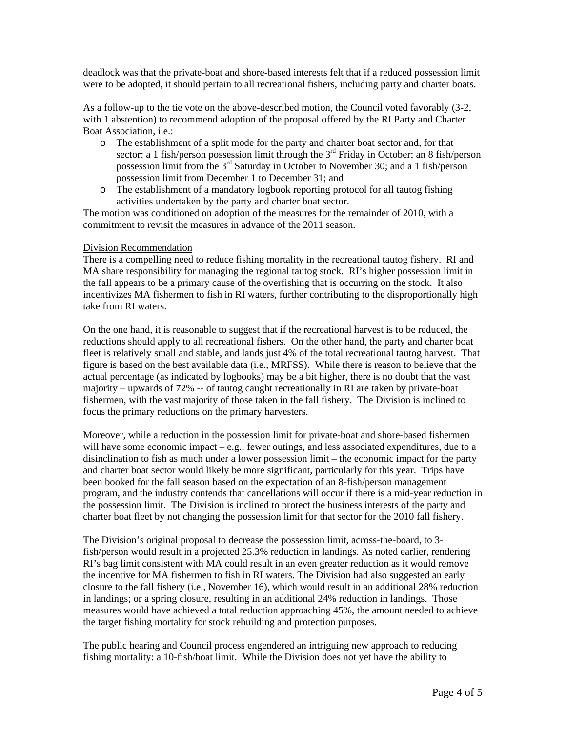deadlock was that the private-boat and shore-based interests felt that if a reduced possession limit were to be adopted, it should pertain to all recreational fishers, including party and charter boats.

As a follow-up to the tie vote on the above-described motion, the Council voted favorably (3-2, with 1 abstention) to recommend adoption of the proposal offered by the RI Party and Charter Boat Association, i.e.:

- o The establishment of a split mode for the party and charter boat sector and, for that sector: a 1 fish/person possession limit through the  $3<sup>rd</sup>$  Friday in October; an 8 fish/person possession limit from the 3rd Saturday in October to November 30; and a 1 fish/person possession limit from December 1 to December 31; and
- o The establishment of a mandatory logbook reporting protocol for all tautog fishing activities undertaken by the party and charter boat sector.

The motion was conditioned on adoption of the measures for the remainder of 2010, with a commitment to revisit the measures in advance of the 2011 season.

#### Division Recommendation

There is a compelling need to reduce fishing mortality in the recreational tautog fishery. RI and MA share responsibility for managing the regional tautog stock. RI's higher possession limit in the fall appears to be a primary cause of the overfishing that is occurring on the stock. It also incentivizes MA fishermen to fish in RI waters, further contributing to the disproportionally high take from RI waters.

On the one hand, it is reasonable to suggest that if the recreational harvest is to be reduced, the reductions should apply to all recreational fishers. On the other hand, the party and charter boat fleet is relatively small and stable, and lands just 4% of the total recreational tautog harvest. That figure is based on the best available data (i.e., MRFSS). While there is reason to believe that the actual percentage (as indicated by logbooks) may be a bit higher, there is no doubt that the vast majority – upwards of 72% -- of tautog caught recreationally in RI are taken by private-boat fishermen, with the vast majority of those taken in the fall fishery. The Division is inclined to focus the primary reductions on the primary harvesters.

Moreover, while a reduction in the possession limit for private-boat and shore-based fishermen will have some economic impact  $-e.g.,$  fewer outings, and less associated expenditures, due to a disinclination to fish as much under a lower possession limit – the economic impact for the party and charter boat sector would likely be more significant, particularly for this year. Trips have been booked for the fall season based on the expectation of an 8-fish/person management program, and the industry contends that cancellations will occur if there is a mid-year reduction in the possession limit. The Division is inclined to protect the business interests of the party and charter boat fleet by not changing the possession limit for that sector for the 2010 fall fishery.

The Division's original proposal to decrease the possession limit, across-the-board, to 3 fish/person would result in a projected 25.3% reduction in landings. As noted earlier, rendering RI's bag limit consistent with MA could result in an even greater reduction as it would remove the incentive for MA fishermen to fish in RI waters. The Division had also suggested an early closure to the fall fishery (i.e., November 16), which would result in an additional 28% reduction in landings; or a spring closure, resulting in an additional 24% reduction in landings. Those measures would have achieved a total reduction approaching 45%, the amount needed to achieve the target fishing mortality for stock rebuilding and protection purposes.

The public hearing and Council process engendered an intriguing new approach to reducing fishing mortality: a 10-fish/boat limit. While the Division does not yet have the ability to